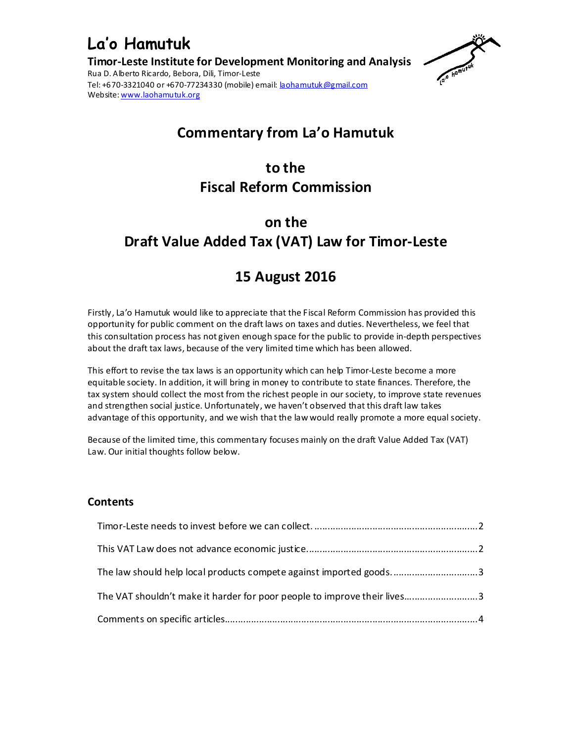



## **Commentary from La'o Hamutuk**

## **to the Fiscal Reform Commission**

# **on the Draft Value Added Tax (VAT) Law for Timor-Leste**

## **15 August 2016**

Firstly, La'o Hamutuk would like to appreciate that the Fiscal Reform Commission has provided this opportunity for public comment on the draft laws on taxes and duties. Nevertheless, we feel that this consultation process has not given enough space for the public to provide in-depth perspectives about the draft tax laws, because of the very limited time which has been allowed.

This effort to revise the tax laws is an opportunity which can help Timor-Leste become a more equitable society. In addition, it will bring in money to contribute to state finances. Therefore, the tax system should collect the most from the richest people in our society, to improve state revenues and strengthen social justice. Unfortunately, we haven't observed that this draft law takes advantage of this opportunity, and we wish that the law would really promote a more equal society.

Because of the limited time, this commentary focuses mainly on the draft Value Added Tax (VAT) Law. Our initial thoughts follow below.

### **Contents**

| The law should help local products compete against imported goods3       |  |
|--------------------------------------------------------------------------|--|
| The VAT shouldn't make it harder for poor people to improve their lives3 |  |
|                                                                          |  |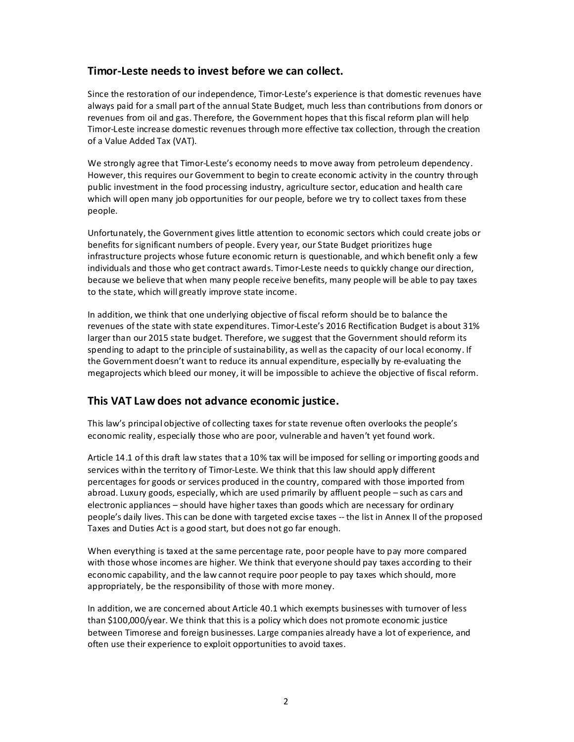#### **Timor-Leste needs to invest before we can collect.**

Since the restoration of our independence, Timor-Leste's experience is that domestic revenues have always paid for a small part of the annual State Budget, much less than contributions from donors or revenues from oil and gas. Therefore, the Government hopes that this fiscal reform plan will help Timor-Leste increase domestic revenues through more effective tax collection, through the creation of a Value Added Tax (VAT).

We strongly agree that Timor-Leste's economy needs to move away from petroleum dependency. However, this requires our Government to begin to create economic activity in the country through public investment in the food processing industry, agriculture sector, education and health care which will open many job opportunities for our people, before we try to collect taxes from these people.

Unfortunately, the Government gives little attention to economic sectors which could create jobs or benefits for significant numbers of people. Every year, our State Budget prioritizes huge infrastructure projects whose future economic return is questionable, and which benefit only a few individuals and those who get contract awards. Timor-Leste needs to quickly change our direction, because we believe that when many people receive benefits, many people will be able to pay taxes to the state, which will greatly improve state income.

In addition, we think that one underlying objective of fiscal reform should be to balance the revenues of the state with state expenditures. Timor-Leste's 2016 Rectification Budget is about 31% larger than our 2015 state budget. Therefore, we suggest that the Government should reform its spending to adapt to the principle of sustainability, as well as the capacity of our local economy. If the Government doesn't want to reduce its annual expenditure, especially by re-evaluating the megaprojects which bleed our money, it will be impossible to achieve the objective of fiscal reform.

### **This VAT Law does not advance economic justice.**

This law's principal objective of collecting taxes for state revenue often overlooks the people's economic reality, especially those who are poor, vulnerable and haven't yet found work.

Article 14.1 of this draft law states that a 10% tax will be imposed for selling or importing goods and services within the territory of Timor-Leste. We think that this law should apply different percentages for goods or services produced in the country, compared with those imported from abroad. Luxury goods, especially, which are used primarily by affluent people – such as cars and electronic appliances – should have higher taxes than goods which are necessary for ordinary people's daily lives. This can be done with targeted excise taxes -- the list in Annex II of the proposed Taxes and Duties Act is a good start, but does not go far enough.

When everything is taxed at the same percentage rate, poor people have to pay more compared with those whose incomes are higher. We think that everyone should pay taxes according to their economic capability, and the law cannot require poor people to pay taxes which should, more appropriately, be the responsibility of those with more money.

In addition, we are concerned about Article 40.1 which exempts businesses with turnover of less than \$100,000/year. We think that this is a policy which does not promote economic justice between Timorese and foreign businesses. Large companies already have a lot of experience, and often use their experience to exploit opportunities to avoid taxes.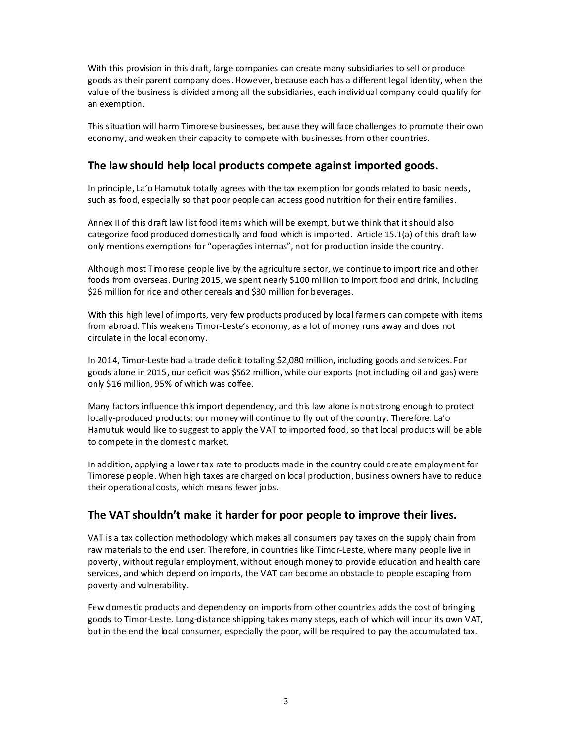With this provision in this draft, large companies can create many subsidiaries to sell or produce goods as their parent company does. However, because each has a different legal identity, when the value of the business is divided among all the subsidiaries, each individual company could qualify for an exemption.

This situation will harm Timorese businesses, because they will face challenges to promote their own economy, and weaken their capacity to compete with businesses from other countries.

#### **The law should help local products compete against imported goods.**

In principle, La'o Hamutuk totally agrees with the tax exemption for goods related to basic needs, such as food, especially so that poor people can access good nutrition for their entire families.

Annex II of this draft law list food items which will be exempt, but we think that it should also categorize food produced domestically and food which is imported. Article 15.1(a) of this draft law only mentions exemptions for "operações internas", not for production inside the country.

Although most Timorese people live by the agriculture sector, we continue to import rice and other foods from overseas. During 2015, we spent nearly \$100 million to import food and drink, including \$26 million for rice and other cereals and \$30 million for beverages.

With this high level of imports, very few products produced by local farmers can compete with items from abroad. This weakens Timor-Leste's economy, as a lot of money runs away and does not circulate in the local economy.

In 2014, Timor-Leste had a trade deficit totaling \$2,080 million, including goods and services. For goods alone in 2015, our deficit was \$562 million, while our exports (not including oil and gas) were only \$16 million, 95% of which was coffee.

Many factors influence this import dependency, and this law alone is not strong enough to protect locally-produced products; our money will continue to fly out of the country. Therefore, La'o Hamutuk would like to suggest to apply the VAT to imported food, so that local products will be able to compete in the domestic market.

In addition, applying a lower tax rate to products made in the country could create employment for Timorese people. When high taxes are charged on local production, business owners have to reduce their operational costs, which means fewer jobs.

#### **The VAT shouldn't make it harder for poor people to improve their lives.**

VAT is a tax collection methodology which makes all consumers pay taxes on the supply chain from raw materials to the end user. Therefore, in countries like Timor-Leste, where many people live in poverty, without regular employment, without enough money to provide education and health care services, and which depend on imports, the VAT can become an obstacle to people escaping from poverty and vulnerability.

Few domestic products and dependency on imports from other countries adds the cost of bringing goods to Timor-Leste. Long-distance shipping takes many steps, each of which will incur its own VAT, but in the end the local consumer, especially the poor, will be required to pay the accumulated tax.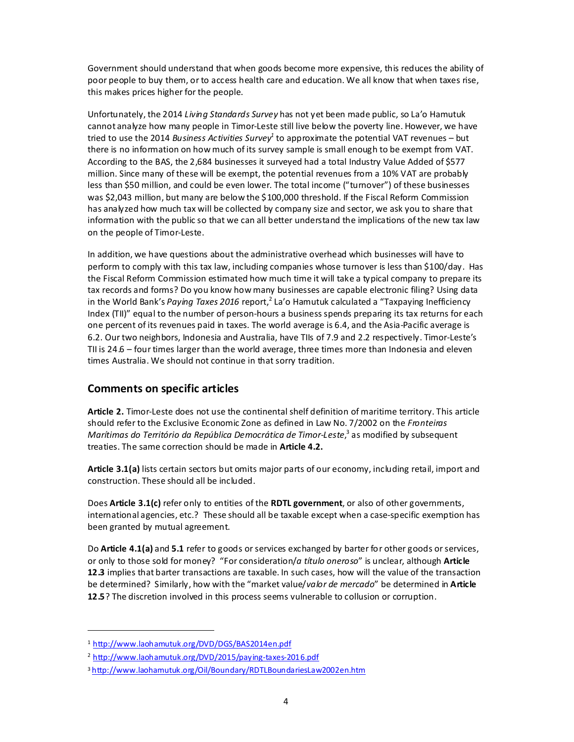Government should understand that when goods become more expensive, this reduces the ability of poor people to buy them, or to access health care and education. We all know that when taxes rise, this makes prices higher for the people.

Unfortunately, the 2014 *Living Standards Survey* has not yet been made public, so La'o Hamutuk cannot analyze how many people in Timor-Leste still live below the poverty line. However, we have tried to use the 2014 *Business Activities Survey*<sup>1</sup> to approximate the potential VAT revenues – but there is no information on how much of its survey sample is small enough to be exempt from VAT. According to the BAS, the 2,684 businesses it surveyed had a total Industry Value Added of \$577 million. Since many of these will be exempt, the potential revenues from a 10% VAT are probably less than \$50 million, and could be even lower. The total income ("turnover") of these businesses was \$2,043 million, but many are below the \$100,000 threshold. If the Fiscal Reform Commission has analyzed how much tax will be collected by company size and sector, we ask you to share that information with the public so that we can all better understand the implications of the new tax law on the people of Timor-Leste.

In addition, we have questions about the administrative overhead which businesses will have to perform to comply with this tax law, including companies whose turnover is less than \$100/day. Has the Fiscal Reform Commission estimated how much time it will take a typical company to prepare its tax records and forms? Do you know how many businesses are capable electronic filing? Using data in the World Bank's Paying Taxes 2016 report,<sup>2</sup> La'o Hamutuk calculated a "Taxpaying Inefficiency Index (TII)" equal to the number of person-hours a business spends preparing its tax returns for each one percent of its revenues paid in taxes. The world average is 6.4, and the Asia-Pacific average is 6.2. Our two neighbors, Indonesia and Australia, have TIIs of 7.9 and 2.2 respectively. Timor-Leste's TII is 24.6 – four times larger than the world average, three times more than Indonesia and eleven times Australia. We should not continue in that sorry tradition.

### **Comments on specific articles**

**Article 2.** Timor-Leste does not use the continental shelf definition of maritime territory. This article should refer to the Exclusive Economic Zone as defined in Law No. 7/2002 on the *Fronteiras*  Marítimas do Território da República Democrática de Timor-Leste,<sup>3</sup> as modified by subsequent treaties. The same correction should be made in **Article 4.2.** 

**Article 3.1(a)** lists certain sectors but omits major parts of our economy, including retail, import and construction. These should all be included.

Does **Article 3.1(c)** refer only to entities of the **RDTL government**, or also of other governments, international agencies, etc.? These should all be taxable except when a case-specific exemption has been granted by mutual agreement.

Do **Article 4.1(a)** and **5.1** refer to goods or services exchanged by barter for other goods or services, or only to those sold for money? "For consideration/*a título oneroso*" is unclear, although **Article 12.3** implies that barter transactions are taxable. In such cases, how will the value of the transaction be determined? Similarly, how with the "market value/*valor de mercado*" be determined in **Article 12.5**? The discretion involved in this process seems vulnerable to collusion or corruption.

 $\overline{a}$ 

<sup>1</sup> http://www.laohamutuk.org/DVD/DGS/BAS2014en.pdf

<sup>&</sup>lt;sup>2</sup> http://www.laohamutuk.org/DVD/2015/paying-taxes-2016.pdf

<sup>3</sup> http://www.laohamutuk.org/Oil/Boundary/RDTLBoundariesLaw2002en.htm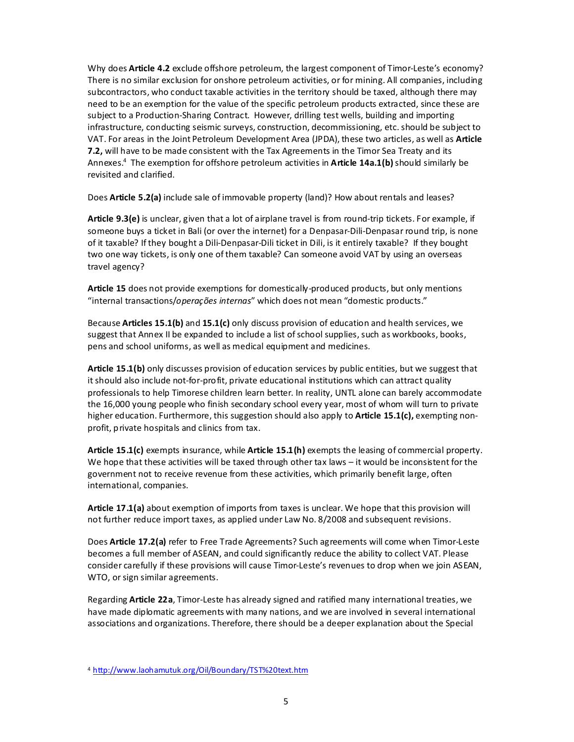Why does **Article 4.2** exclude offshore petroleum, the largest component of Timor-Leste's economy? There is no similar exclusion for onshore petroleum activities, or for mining. All companies, including subcontractors, who conduct taxable activities in the territory should be taxed, although there may need to be an exemption for the value of the specific petroleum products extracted, since these are subject to a Production-Sharing Contract. However, drilling test wells, building and importing infrastructure, conducting seismic surveys, construction, decommissioning, etc. should be subject to VAT. For areas in the Joint Petroleum Development Area (JPDA), these two articles, as well as **Article 7.2,** will have to be made consistent with the Tax Agreements in the Timor Sea Treaty and its Annexes.<sup>4</sup> The exemption for offshore petroleum activities in **Article 14a.1(b)** should similarly be revisited and clarified.

Does **Article 5.2(a)** include sale of immovable property (land)? How about rentals and leases?

**Article 9.3(e)** is unclear, given that a lot of airplane travel is from round-trip tickets. For example, if someone buys a ticket in Bali (or over the internet) for a Denpasar-Dili-Denpasar round trip, is none of it taxable? If they bought a Dili-Denpasar-Dili ticket in Dili, is it entirely taxable? If they bought two one way tickets, is only one of them taxable? Can someone avoid VAT by using an overseas travel agency?

**Article 15** does not provide exemptions for domestically-produced products, but only mentions "internal transactions/*operações internas*" which does not mean "domestic products."

Because **Articles 15.1(b)** and **15.1(c)** only discuss provision of education and health services, we suggest that Annex II be expanded to include a list of school supplies, such as workbooks, books, pens and school uniforms, as well as medical equipment and medicines.

**Article 15.1(b)** only discusses provision of education services by public entities, but we suggest that it should also include not-for-profit, private educational institutions which can attract quality professionals to help Timorese children learn better. In reality, UNTL alone can barely accommodate the 16,000 young people who finish secondary school every year, most of whom will turn to private higher education. Furthermore, this suggestion should also apply to **Article 15.1(c),** exempting nonprofit, private hospitals and clinics from tax.

**Article 15.1(c)** exempts insurance, while **Article 15.1(h)** exempts the leasing of commercial property. We hope that these activities will be taxed through other tax laws – it would be inconsistent for the government not to receive revenue from these activities, which primarily benefit large, often international, companies.

**Article 17.1(a)** about exemption of imports from taxes is unclear. We hope that this provision will not further reduce import taxes, as applied under Law No. 8/2008 and subsequent revisions.

Does **Article 17.2(a)** refer to Free Trade Agreements? Such agreements will come when Timor-Leste becomes a full member of ASEAN, and could significantly reduce the ability to collect VAT. Please consider carefully if these provisions will cause Timor-Leste's revenues to drop when we join ASEAN, WTO, or sign similar agreements.

Regarding **Article 22a**, Timor-Leste has already signed and ratified many international treaties, we have made diplomatic agreements with many nations, and we are involved in several international associations and organizations. Therefore, there should be a deeper explanation about the Special

<sup>4</sup> http://www.laohamutuk.org/Oil/Boundary/TST%20text.htm